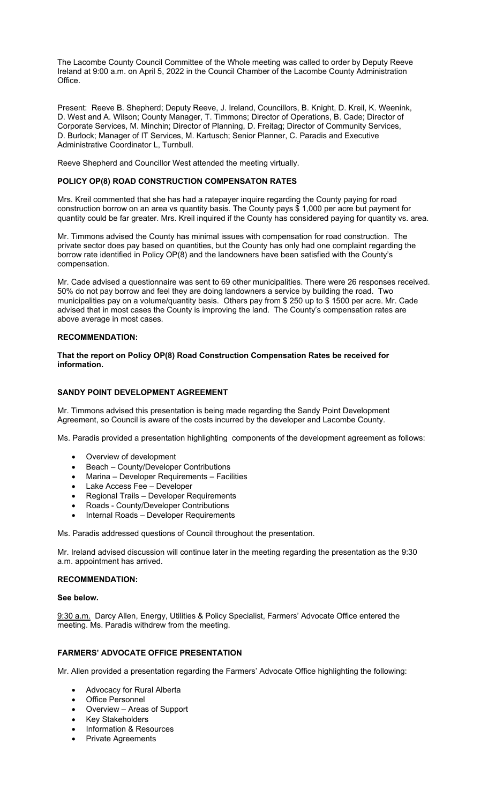The Lacombe County Council Committee of the Whole meeting was called to order by Deputy Reeve Ireland at 9:00 a.m. on April 5, 2022 in the Council Chamber of the Lacombe County Administration Office.

Present: Reeve B. Shepherd; Deputy Reeve, J. Ireland, Councillors, B. Knight, D. Kreil, K. Weenink, D. West and A. Wilson; County Manager, T. Timmons; Director of Operations, B. Cade; Director of Corporate Services, M. Minchin; Director of Planning, D. Freitag; Director of Community Services, D. Burlock; Manager of IT Services, M. Kartusch; Senior Planner, C. Paradis and Executive Administrative Coordinator L, Turnbull.

Reeve Shepherd and Councillor West attended the meeting virtually.

# **POLICY OP(8) ROAD CONSTRUCTION COMPENSATON RATES**

Mrs. Kreil commented that she has had a ratepayer inquire regarding the County paying for road construction borrow on an area vs quantity basis. The County pays \$ 1,000 per acre but payment for quantity could be far greater. Mrs. Kreil inquired if the County has considered paying for quantity vs. area.

Mr. Timmons advised the County has minimal issues with compensation for road construction. The private sector does pay based on quantities, but the County has only had one complaint regarding the borrow rate identified in Policy OP(8) and the landowners have been satisfied with the County's compensation.

Mr. Cade advised a questionnaire was sent to 69 other municipalities. There were 26 responses received. 50% do not pay borrow and feel they are doing landowners a service by building the road. Two municipalities pay on a volume/quantity basis. Others pay from \$ 250 up to \$ 1500 per acre. Mr. Cade advised that in most cases the County is improving the land. The County's compensation rates are above average in most cases.

# **RECOMMENDATION:**

**That the report on Policy OP(8) Road Construction Compensation Rates be received for information.** 

# **SANDY POINT DEVELOPMENT AGREEMENT**

Mr. Timmons advised this presentation is being made regarding the Sandy Point Development Agreement, so Council is aware of the costs incurred by the developer and Lacombe County.

Ms. Paradis provided a presentation highlighting components of the development agreement as follows:

- Overview of development
- Beach County/Developer Contributions
- Marina Developer Requirements Facilities
- Lake Access Fee Developer
- Regional Trails Developer Requirements
- Roads County/Developer Contributions
- Internal Roads Developer Requirements

Ms. Paradis addressed questions of Council throughout the presentation.

Mr. Ireland advised discussion will continue later in the meeting regarding the presentation as the 9:30 a.m. appointment has arrived.

## **RECOMMENDATION:**

**See below.** 

9:30 a.m. Darcy Allen, Energy, Utilities & Policy Specialist, Farmers' Advocate Office entered the meeting. Ms. Paradis withdrew from the meeting.

# **FARMERS' ADVOCATE OFFICE PRESENTATION**

Mr. Allen provided a presentation regarding the Farmers' Advocate Office highlighting the following:

- Advocacy for Rural Alberta
- Office Personnel
- Overview Areas of Support
- Key Stakeholders
- Information & Resources
- Private Agreements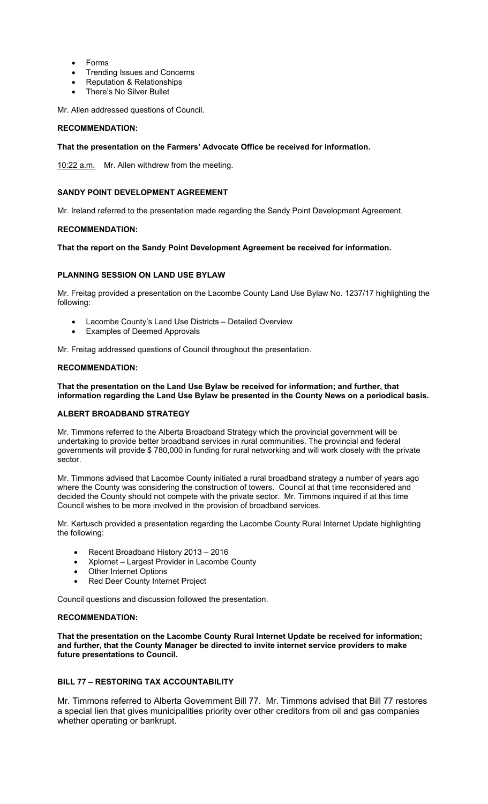- Forms
- Trending Issues and Concerns
- Reputation & Relationships
- There's No Silver Bullet

Mr. Allen addressed questions of Council.

# **RECOMMENDATION:**

# **That the presentation on the Farmers' Advocate Office be received for information.**

10:22 a.m.Mr. Allen withdrew from the meeting.

# **SANDY POINT DEVELOPMENT AGREEMENT**

Mr. Ireland referred to the presentation made regarding the Sandy Point Development Agreement.

# **RECOMMENDATION:**

# **That the report on the Sandy Point Development Agreement be received for information.**

# **PLANNING SESSION ON LAND USE BYLAW**

Mr. Freitag provided a presentation on the Lacombe County Land Use Bylaw No. 1237/17 highlighting the following:

- Lacombe County's Land Use Districts Detailed Overview
- Examples of Deemed Approvals

Mr. Freitag addressed questions of Council throughout the presentation.

## **RECOMMENDATION:**

# **That the presentation on the Land Use Bylaw be received for information; and further, that information regarding the Land Use Bylaw be presented in the County News on a periodical basis.**

# **ALBERT BROADBAND STRATEGY**

Mr. Timmons referred to the Alberta Broadband Strategy which the provincial government will be undertaking to provide better broadband services in rural communities. The provincial and federal governments will provide \$ 780,000 in funding for rural networking and will work closely with the private sector.

Mr. Timmons advised that Lacombe County initiated a rural broadband strategy a number of years ago where the County was considering the construction of towers. Council at that time reconsidered and decided the County should not compete with the private sector. Mr. Timmons inquired if at this time Council wishes to be more involved in the provision of broadband services.

Mr. Kartusch provided a presentation regarding the Lacombe County Rural Internet Update highlighting the following:

- Recent Broadband History 2013 2016
- Xplornet Largest Provider in Lacombe County
- Other Internet Options
- Red Deer County Internet Project

Council questions and discussion followed the presentation.

# **RECOMMENDATION:**

**That the presentation on the Lacombe County Rural Internet Update be received for information; and further, that the County Manager be directed to invite internet service providers to make future presentations to Council.** 

# **BILL 77 – RESTORING TAX ACCOUNTABILITY**

Mr. Timmons referred to Alberta Government Bill 77. Mr. Timmons advised that Bill 77 restores a special lien that gives municipalities priority over other creditors from oil and gas companies whether operating or bankrupt.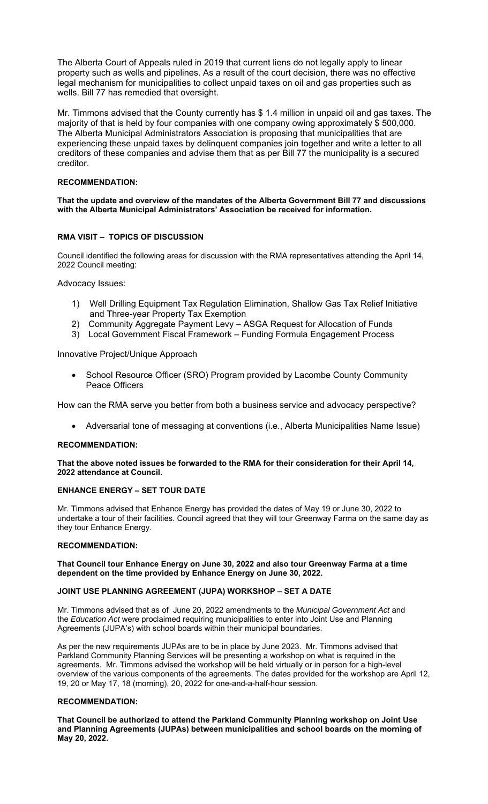The Alberta Court of Appeals ruled in 2019 that current liens do not legally apply to linear property such as wells and pipelines. As a result of the court decision, there was no effective legal mechanism for municipalities to collect unpaid taxes on oil and gas properties such as wells. Bill 77 has remedied that oversight.

Mr. Timmons advised that the County currently has \$ 1.4 million in unpaid oil and gas taxes. The majority of that is held by four companies with one company owing approximately \$ 500,000. The Alberta Municipal Administrators Association is proposing that municipalities that are experiencing these unpaid taxes by delinquent companies join together and write a letter to all creditors of these companies and advise them that as per Bill 77 the municipality is a secured creditor.

# **RECOMMENDATION:**

**That the update and overview of the mandates of the Alberta Government Bill 77 and discussions with the Alberta Municipal Administrators' Association be received for information.** 

# **RMA VISIT – TOPICS OF DISCUSSION**

Council identified the following areas for discussion with the RMA representatives attending the April 14, 2022 Council meeting:

# Advocacy Issues:

- 1) Well Drilling Equipment Tax Regulation Elimination, Shallow Gas Tax Relief Initiative and Three-year Property Tax Exemption
- 2) Community Aggregate Payment Levy ASGA Request for Allocation of Funds
- 3) Local Government Fiscal Framework Funding Formula Engagement Process

# Innovative Project/Unique Approach

 School Resource Officer (SRO) Program provided by Lacombe County Community Peace Officers

How can the RMA serve you better from both a business service and advocacy perspective?

Adversarial tone of messaging at conventions (i.e., Alberta Municipalities Name Issue)

## **RECOMMENDATION:**

# **That the above noted issues be forwarded to the RMA for their consideration for their April 14, 2022 attendance at Council.**

## **ENHANCE ENERGY – SET TOUR DATE**

Mr. Timmons advised that Enhance Energy has provided the dates of May 19 or June 30, 2022 to undertake a tour of their facilities. Council agreed that they will tour Greenway Farma on the same day as they tour Enhance Energy.

## **RECOMMENDATION:**

## **That Council tour Enhance Energy on June 30, 2022 and also tour Greenway Farma at a time dependent on the time provided by Enhance Energy on June 30, 2022.**

## **JOINT USE PLANNING AGREEMENT (JUPA) WORKSHOP – SET A DATE**

Mr. Timmons advised that as of June 20, 2022 amendments to the *Municipal Government Act* and the *Education Act* were proclaimed requiring municipalities to enter into Joint Use and Planning Agreements (JUPA's) with school boards within their municipal boundaries.

As per the new requirements JUPAs are to be in place by June 2023. Mr. Timmons advised that Parkland Community Planning Services will be presenting a workshop on what is required in the agreements. Mr. Timmons advised the workshop will be held virtually or in person for a high-level overview of the various components of the agreements. The dates provided for the workshop are April 12, 19, 20 or May 17, 18 (morning), 20, 2022 for one-and-a-half-hour session.

## **RECOMMENDATION:**

**That Council be authorized to attend the Parkland Community Planning workshop on Joint Use and Planning Agreements (JUPAs) between municipalities and school boards on the morning of May 20, 2022.**